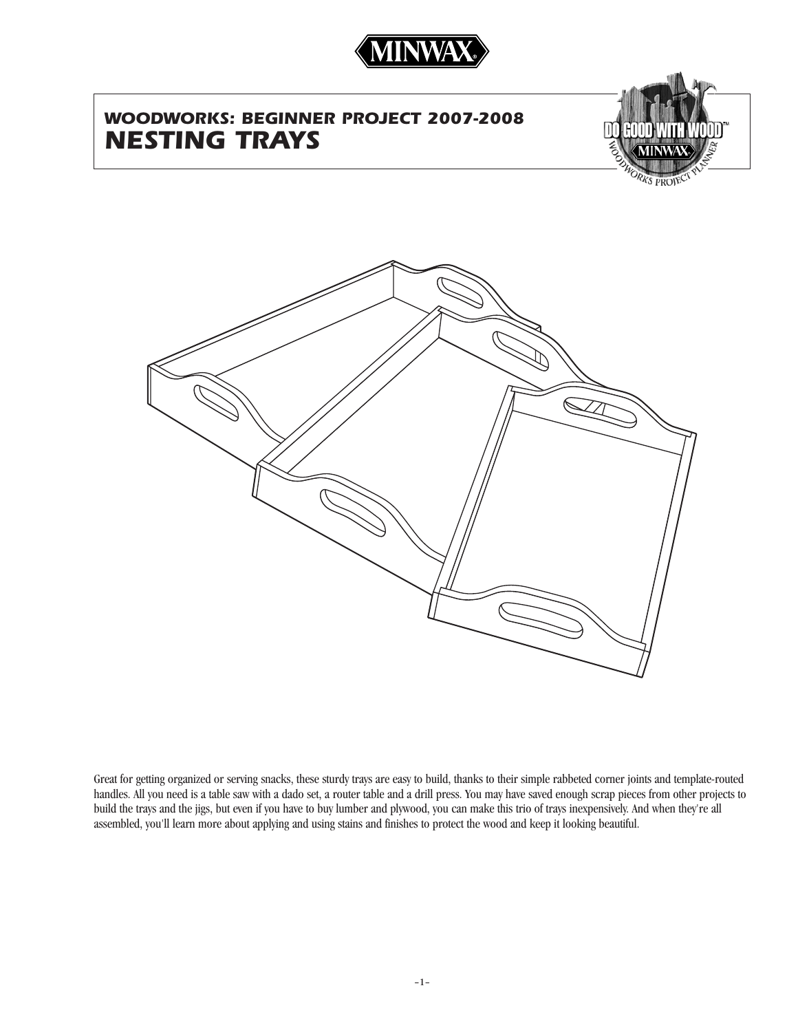

# *WOODWORKS: BEGINNER PROJECT 2007-2008 NESTING TRAYS*





Great for getting organized or serving snacks, these sturdy trays are easy to build, thanks to their simple rabbeted corner joints and template-routed handles. All you need is a table saw with a dado set, a router table and a drill press. You may have saved enough scrap pieces from other projects to build the trays and the jigs, but even if you have to buy lumber and plywood, you can make this trio of trays inexpensively. And when they're all assembled, you'll learn more about applying and using stains and finishes to protect the wood and keep it looking beautiful.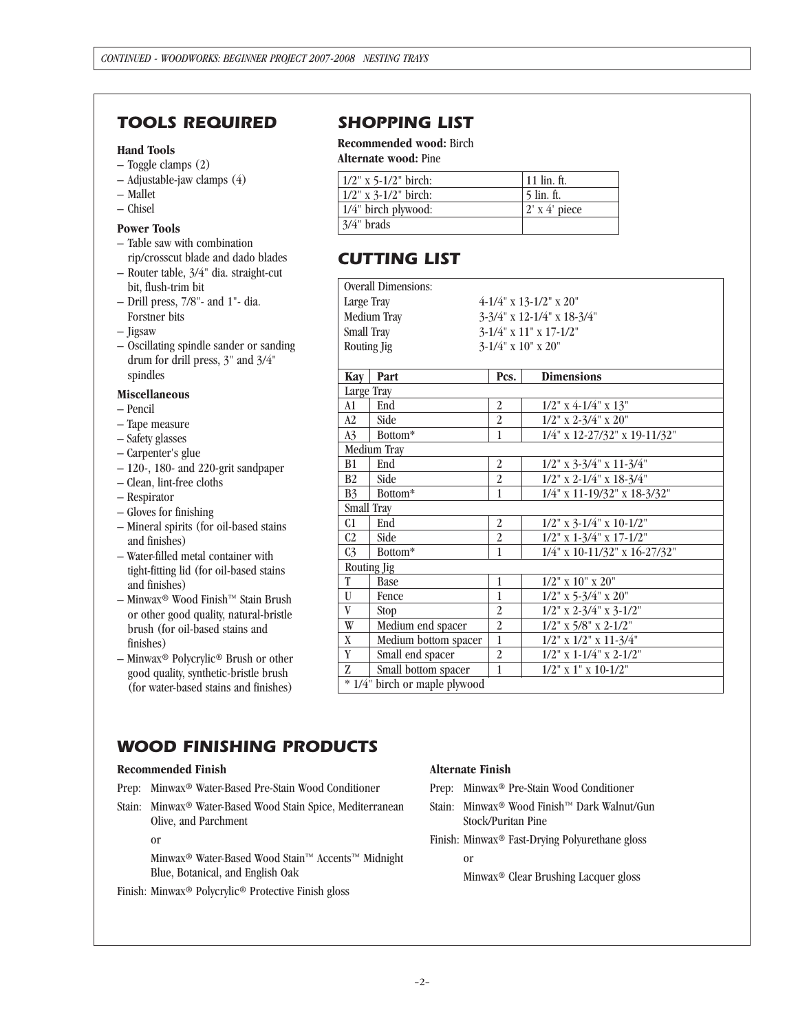### *TOOLS REQUIRED SHOPPING LIST*

#### **Hand Tools**

- Toggle clamps (2)
- Adjustable-jaw clamps (4)
- Mallet
- Chisel

### **Power Tools**

- Table saw with combination
- rip/crosscut blade and dado blades
- Router table, 3/4" dia. straight-cut bit, flush-trim bit
- Drill press, 7/8"- and 1"- dia. Forstner bits
- Jigsaw
- Oscillating spindle sander or sanding drum for drill press, 3" and 3/4" spindles

#### **Miscellaneous**

- Pencil
- Tape measure
- Safety glasses
- Carpenter's glue
- 120-, 180- and 220-grit sandpaper
- Clean, lint-free cloths
- Respirator
- Gloves for finishing
- Mineral spirits (for oil-based stains and finishes)
- Water-filled metal container with tight-fitting lid (for oil-based stains and finishes)
- $−$ Minwax® Wood Finish™ Stain Brush or other good quality, natural-bristle brush (for oil-based stains and finishes)
- Minwax® Polycrylic® Brush or other good quality, synthetic-bristle brush (for water-based stains and finishes)

**Recommended wood:** Birch **Alternate wood:** Pine

| $1/2$ " x 5-1/2" birch:     | $11$ lin. ft.         |
|-----------------------------|-----------------------|
| $1/2$ " x 3-1/2" birch:     | 5 lin. ft.            |
| $\vert$ 1/4" birch plywood: | $ 2' \times 4'$ piece |
| $3/4$ " brads               |                       |

## *CUTTING LIST*

|                                           | <b>Overall Dimensions:</b>              |                |                                  |
|-------------------------------------------|-----------------------------------------|----------------|----------------------------------|
|                                           | Large Tray<br>$4-1/4$ " x 13-1/2" x 20" |                |                                  |
| 3-3/4" x 12-1/4" x 18-3/4"<br>Medium Tray |                                         |                |                                  |
|                                           | Small Tray<br>3-1/4" x 11" x 17-1/2"    |                |                                  |
| 3-1/4" x 10" x 20"<br>Routing Jig         |                                         |                |                                  |
|                                           |                                         |                |                                  |
| Kay                                       | Part                                    | Pcs.           | <b>Dimensions</b>                |
| Large Tray                                |                                         |                |                                  |
| A1                                        | End                                     | $\overline{2}$ | $1/2$ " x 4-1/4" x $13$ "        |
| A2                                        | Side                                    | $\overline{2}$ | $1/2$ " x 2-3/4" x 20"           |
| A <sub>3</sub>                            | Bottom*                                 | 1              | 1/4" x 12-27/32" x 19-11/32"     |
| Medium Tray                               |                                         |                |                                  |
| <b>B1</b>                                 | End                                     | $\overline{2}$ | $1/2$ " x 3-3/4" x 11-3/4"       |
| B <sub>2</sub>                            | Side                                    | $\overline{2}$ | $1/2$ " x 2-1/4" x 18-3/4"       |
| B <sub>3</sub>                            | Bottom*                                 | 1              | 1/4" x 11-19/32" x 18-3/32"      |
| Small Tray                                |                                         |                |                                  |
| C1                                        | End                                     | 2              | $1/2$ " x 3-1/4" x 10-1/2"       |
| C2                                        | Side                                    | $\overline{a}$ | $1/2$ " x $1-3/4$ " x $17-1/2$ " |
| C <sub>3</sub>                            | Bottom*                                 | 1              | 1/4" x 10-11/32" x 16-27/32"     |
| Routing Jig                               |                                         |                |                                  |
| $\mathbf T$                               | Base                                    | $\mathbf{1}$   | $1/2$ " x $10$ " x $20$ "        |
| $\mathbf U$                               | Fence                                   | $\mathbf{1}$   | $1/2$ " x 5-3/4" x 20"           |
| $\overline{\mathbf{V}}$                   | Stop                                    | $\overline{2}$ | $1/2$ " x $2-3/4$ " x $3-1/2$ "  |
| $\mathbf{W}$                              | Medium end spacer                       | $\overline{2}$ | $1/2$ " x $5/8$ " x $2-1/2$ "    |
| X                                         | Medium bottom spacer                    | $\mathbf{1}$   | $1/2$ " x $1/2$ " x $11-3/4$ "   |
| $\mathbf Y$                               | Small end spacer                        | $\overline{2}$ | $1/2$ " x $1-1/4$ " x $2-1/2$ "  |
| $\mathbf{Z}$                              | Small bottom spacer                     | $\mathbf{1}$   | $1/2$ " x 1" x 10-1/2"           |
| * 1/4" birch or maple plywood             |                                         |                |                                  |

# *WOOD FINISHING PRODUCTS*

#### **Recommended Finish**

- Prep: Minwax® Water-Based Pre-Stain Wood Conditioner
- Stain: Minwax® Water-Based Wood Stain Spice, Mediterranean Olive, and Parchment

or

Minwax® Water-Based Wood Stain™ Accents™ Midnight Blue, Botanical, and English Oak

Finish: Minwax® Polycrylic® Protective Finish gloss

#### **Alternate Finish**

Prep: Minwax® Pre-Stain Wood Conditioner

- Stain: Minwax® Wood Finish™ Dark Walnut/Gun Stock/Puritan Pine
- Finish: Minwax® Fast-Drying Polyurethane gloss

or

Minwax® Clear Brushing Lacquer gloss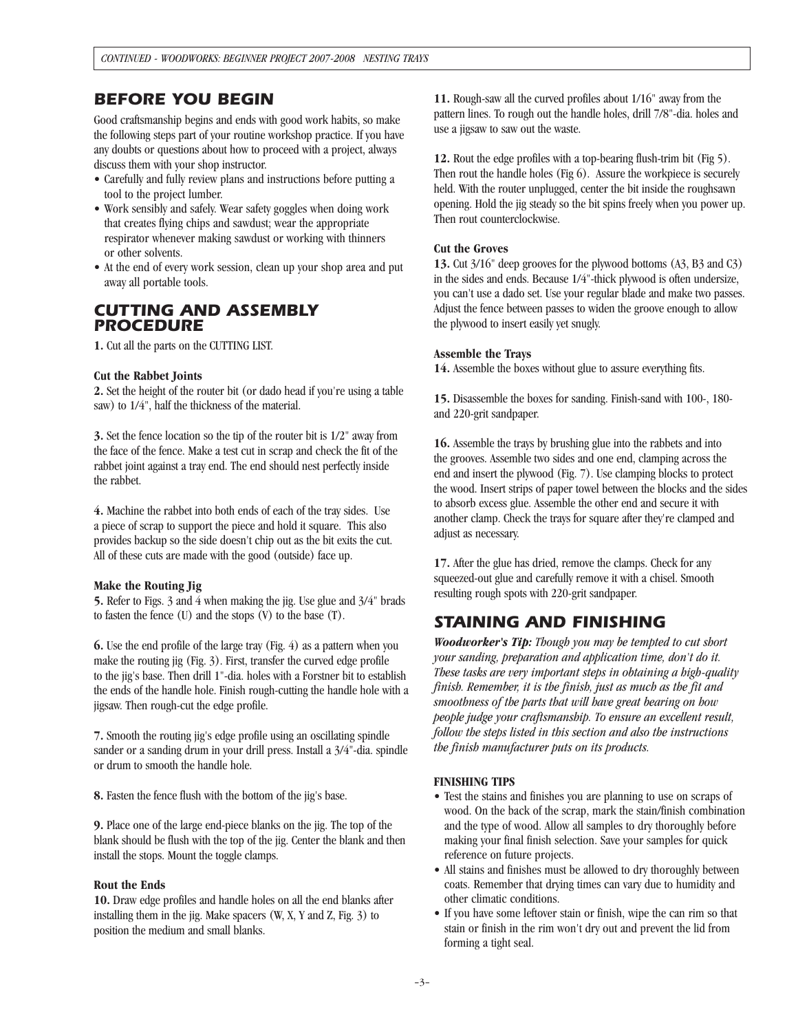### *BEFORE YOU BEGIN*

Good craftsmanship begins and ends with good work habits, so make the following steps part of your routine workshop practice. If you have any doubts or questions about how to proceed with a project, always discuss them with your shop instructor.

- Carefully and fully review plans and instructions before putting a tool to the project lumber.
- Work sensibly and safely. Wear safety goggles when doing work that creates flying chips and sawdust; wear the appropriate respirator whenever making sawdust or working with thinners or other solvents.
- At the end of every work session, clean up your shop area and put away all portable tools.

### *CUTTING AND ASSEMBLY PROCEDURE*

**1.** Cut all the parts on the CUTTING LIST.

#### **Cut the Rabbet Joints**

**2.** Set the height of the router bit (or dado head if you're using a table saw) to 1/4", half the thickness of the material.

**3.** Set the fence location so the tip of the router bit is 1/2" away from the face of the fence. Make a test cut in scrap and check the fit of the rabbet joint against a tray end. The end should nest perfectly inside the rabbet.

**4.** Machine the rabbet into both ends of each of the tray sides. Use a piece of scrap to support the piece and hold it square. This also provides backup so the side doesn't chip out as the bit exits the cut. All of these cuts are made with the good (outside) face up.

#### **Make the Routing Jig**

**5.** Refer to Figs. 3 and 4 when making the jig. Use glue and 3/4" brads to fasten the fence (U) and the stops (V) to the base (T).

**6.** Use the end profile of the large tray (Fig. 4) as a pattern when you make the routing jig (Fig. 3). First, transfer the curved edge profile to the jig's base. Then drill 1"-dia. holes with a Forstner bit to establish the ends of the handle hole. Finish rough-cutting the handle hole with a jigsaw. Then rough-cut the edge profile.

**7.** Smooth the routing jig's edge profile using an oscillating spindle sander or a sanding drum in your drill press. Install a 3/4"-dia. spindle or drum to smooth the handle hole.

**8.** Fasten the fence flush with the bottom of the jig's base.

**9.** Place one of the large end-piece blanks on the jig. The top of the blank should be flush with the top of the jig. Center the blank and then install the stops. Mount the toggle clamps.

#### **Rout the Ends**

**10.** Draw edge profiles and handle holes on all the end blanks after installing them in the jig. Make spacers (W, X, Y and Z, Fig. 3) to position the medium and small blanks.

**11.** Rough-saw all the curved profiles about 1/16" away from the pattern lines. To rough out the handle holes, drill 7/8"-dia. holes and use a jigsaw to saw out the waste.

**12.** Rout the edge profiles with a top-bearing flush-trim bit (Fig 5). Then rout the handle holes (Fig 6). Assure the workpiece is securely held. With the router unplugged, center the bit inside the roughsawn opening. Hold the jig steady so the bit spins freely when you power up. Then rout counterclockwise.

#### **Cut the Groves**

**13.** Cut 3/16" deep grooves for the plywood bottoms (A3, B3 and C3) in the sides and ends. Because 1/4"-thick plywood is often undersize, you can't use a dado set. Use your regular blade and make two passes. Adjust the fence between passes to widen the groove enough to allow the plywood to insert easily yet snugly.

#### **Assemble the Trays**

**14.** Assemble the boxes without glue to assure everything fits.

**15.** Disassemble the boxes for sanding. Finish-sand with 100-, 180 and 220-grit sandpaper.

**16.** Assemble the trays by brushing glue into the rabbets and into the grooves. Assemble two sides and one end, clamping across the end and insert the plywood (Fig. 7). Use clamping blocks to protect the wood. Insert strips of paper towel between the blocks and the sides to absorb excess glue. Assemble the other end and secure it with another clamp. Check the trays for square after they're clamped and adjust as necessary.

**17.** After the glue has dried, remove the clamps. Check for any squeezed-out glue and carefully remove it with a chisel. Smooth resulting rough spots with 220-grit sandpaper.

### *STAINING AND FINISHING*

*Woodworker's Tip: Though you may be tempted to cut short your sanding, preparation and application time, don't do it. These tasks are very important steps in obtaining a high-quality finish. Remember, it is the finish, just as much as the fit and smoothness of the parts that will have great bearing on how people judge your craftsmanship. To ensure an excellent result, follow the steps listed in this section and also the instructions the finish manufacturer puts on its products.*

#### **FINISHING TIPS**

- Test the stains and finishes you are planning to use on scraps of wood. On the back of the scrap, mark the stain/finish combination and the type of wood. Allow all samples to dry thoroughly before making your final finish selection. Save your samples for quick reference on future projects.
- All stains and finishes must be allowed to dry thoroughly between coats. Remember that drying times can vary due to humidity and other climatic conditions.
- If you have some leftover stain or finish, wipe the can rim so that stain or finish in the rim won't dry out and prevent the lid from forming a tight seal.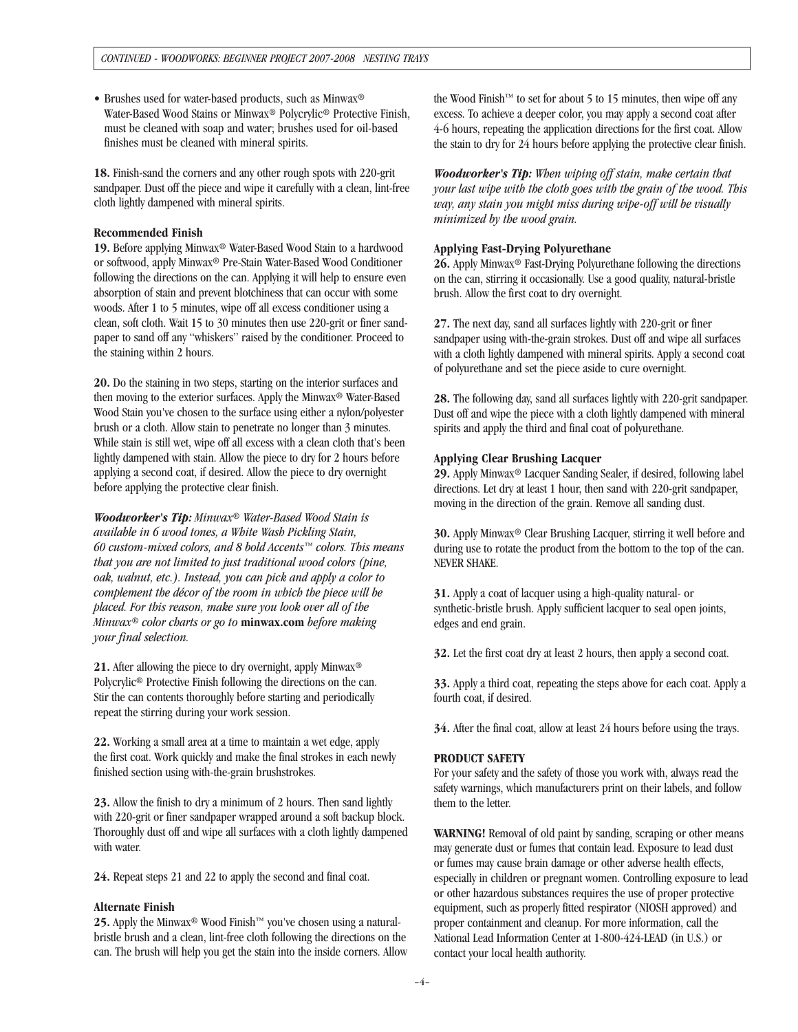• Brushes used for water-based products, such as Minwax® Water-Based Wood Stains or Minwax® Polycrylic® Protective Finish, must be cleaned with soap and water; brushes used for oil-based finishes must be cleaned with mineral spirits.

**18.** Finish-sand the corners and any other rough spots with 220-grit sandpaper. Dust off the piece and wipe it carefully with a clean, lint-free cloth lightly dampened with mineral spirits.

#### **Recommended Finish**

**19.** Before applying Minwax® Water-Based Wood Stain to a hardwood or softwood, apply Minwax® Pre-Stain Water-Based Wood Conditioner following the directions on the can. Applying it will help to ensure even absorption of stain and prevent blotchiness that can occur with some woods. After 1 to 5 minutes, wipe off all excess conditioner using a clean, soft cloth. Wait 15 to 30 minutes then use 220-grit or finer sandpaper to sand off any "whiskers" raised by the conditioner. Proceed to the staining within 2 hours.

**20.** Do the staining in two steps, starting on the interior surfaces and then moving to the exterior surfaces. Apply the Minwax® Water-Based Wood Stain you've chosen to the surface using either a nylon/polyester brush or a cloth. Allow stain to penetrate no longer than 3 minutes. While stain is still wet, wipe off all excess with a clean cloth that's been lightly dampened with stain. Allow the piece to dry for 2 hours before applying a second coat, if desired. Allow the piece to dry overnight before applying the protective clear finish.

*Woodworker's Tip: Minwax® Water-Based Wood Stain is available in 6 wood tones, a White Wash Pickling Stain, 60 custom-mixed colors, and 8 bold Accents™ colors. This means that you are not limited to just traditional wood colors (pine, oak, walnut, etc.). Instead, you can pick and apply a color to complement the décor of the room in which the piece will be placed. For this reason, make sure you look over all of the Minwax® color charts or go to* **minwax.com** *before making your final selection.*

**21.** After allowing the piece to dry overnight, apply Minwax® Polycrylic® Protective Finish following the directions on the can. Stir the can contents thoroughly before starting and periodically repeat the stirring during your work session.

**22.** Working a small area at a time to maintain a wet edge, apply the first coat. Work quickly and make the final strokes in each newly finished section using with-the-grain brushstrokes.

**23.** Allow the finish to dry a minimum of 2 hours. Then sand lightly with 220-grit or finer sandpaper wrapped around a soft backup block. Thoroughly dust off and wipe all surfaces with a cloth lightly dampened with water.

**24.** Repeat steps 21 and 22 to apply the second and final coat.

#### **Alternate Finish**

25. Apply the Minwax<sup>®</sup> Wood Finish<sup>™</sup> you've chosen using a naturalbristle brush and a clean, lint-free cloth following the directions on the can. The brush will help you get the stain into the inside corners. Allow the Wood Finish™ to set for about 5 to 15 minutes, then wipe off any excess. To achieve a deeper color, you may apply a second coat after 4-6 hours, repeating the application directions for the first coat. Allow the stain to dry for 24 hours before applying the protective clear finish.

*Woodworker's Tip: When wiping off stain, make certain that your last wipe with the cloth goes with the grain of the wood. This way, any stain you might miss during wipe-off will be visually minimized by the wood grain.*

#### **Applying Fast-Drying Polyurethane**

**26.** Apply Minwax® Fast-Drying Polyurethane following the directions on the can, stirring it occasionally. Use a good quality, natural-bristle brush. Allow the first coat to dry overnight.

**27.** The next day, sand all surfaces lightly with 220-grit or finer sandpaper using with-the-grain strokes. Dust off and wipe all surfaces with a cloth lightly dampened with mineral spirits. Apply a second coat of polyurethane and set the piece aside to cure overnight.

**28.** The following day, sand all surfaces lightly with 220-grit sandpaper. Dust off and wipe the piece with a cloth lightly dampened with mineral spirits and apply the third and final coat of polyurethane.

#### **Applying Clear Brushing Lacquer**

**29.** Apply Minwax® Lacquer Sanding Sealer, if desired, following label directions. Let dry at least 1 hour, then sand with 220-grit sandpaper, moving in the direction of the grain. Remove all sanding dust.

**30.** Apply Minwax® Clear Brushing Lacquer, stirring it well before and during use to rotate the product from the bottom to the top of the can. NEVER SHAKE.

**31.** Apply a coat of lacquer using a high-quality natural- or synthetic-bristle brush. Apply sufficient lacquer to seal open joints, edges and end grain.

**32.** Let the first coat dry at least 2 hours, then apply a second coat.

**33.** Apply a third coat, repeating the steps above for each coat. Apply a fourth coat, if desired.

**34.** After the final coat, allow at least 24 hours before using the trays.

#### **PRODUCT SAFETY**

For your safety and the safety of those you work with, always read the safety warnings, which manufacturers print on their labels, and follow them to the letter.

**WARNING!** Removal of old paint by sanding, scraping or other means may generate dust or fumes that contain lead. Exposure to lead dust or fumes may cause brain damage or other adverse health effects, especially in children or pregnant women. Controlling exposure to lead or other hazardous substances requires the use of proper protective equipment, such as properly fitted respirator (NIOSH approved) and proper containment and cleanup. For more information, call the National Lead Information Center at 1-800-424-LEAD (in U.S.) or contact your local health authority.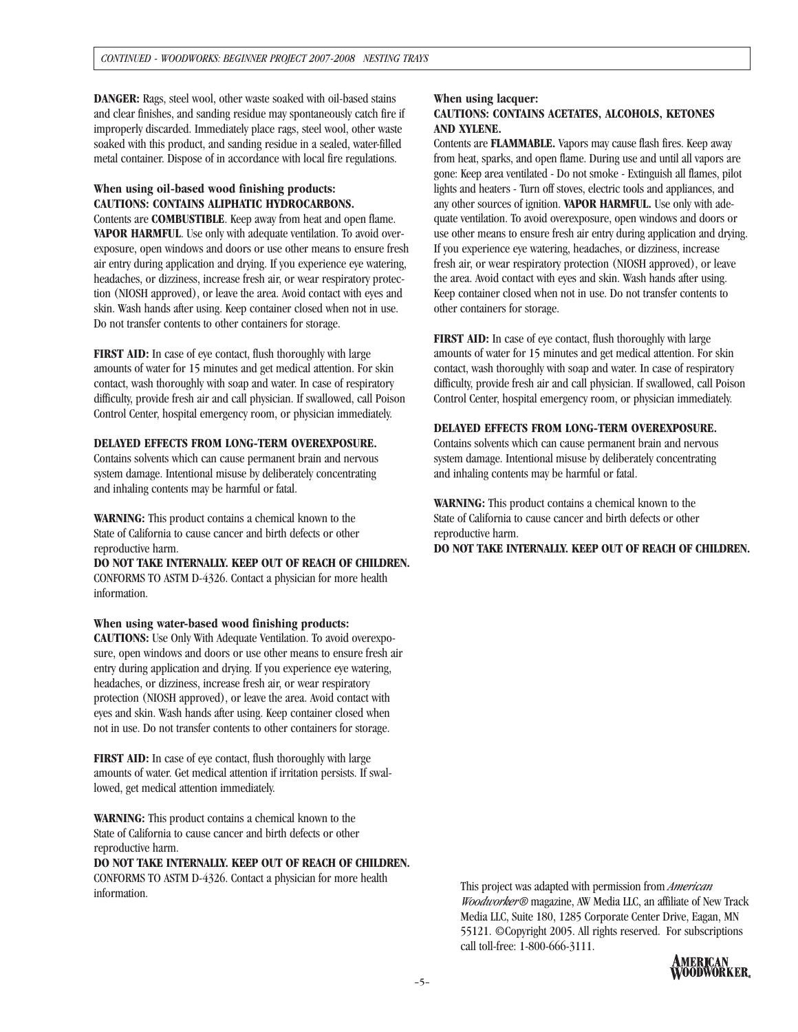**DANGER:** Rags, steel wool, other waste soaked with oil-based stains and clear finishes, and sanding residue may spontaneously catch fire if improperly discarded. Immediately place rags, steel wool, other waste soaked with this product, and sanding residue in a sealed, water-filled metal container. Dispose of in accordance with local fire regulations.

#### **When using oil-based wood finishing products: CAUTIONS: CONTAINS ALIPHATIC HYDROCARBONS.**

Contents are **COMBUSTIBLE**. Keep away from heat and open flame. **VAPOR HARMFUL**. Use only with adequate ventilation. To avoid overexposure, open windows and doors or use other means to ensure fresh air entry during application and drying. If you experience eye watering, headaches, or dizziness, increase fresh air, or wear respiratory protection (NIOSH approved), or leave the area. Avoid contact with eyes and skin. Wash hands after using. Keep container closed when not in use. Do not transfer contents to other containers for storage.

**FIRST AID:** In case of eye contact, flush thoroughly with large amounts of water for 15 minutes and get medical attention. For skin contact, wash thoroughly with soap and water. In case of respiratory difficulty, provide fresh air and call physician. If swallowed, call Poison Control Center, hospital emergency room, or physician immediately.

#### **DELAYED EFFECTS FROM LONG-TERM OVEREXPOSURE.**

Contains solvents which can cause permanent brain and nervous system damage. Intentional misuse by deliberately concentrating and inhaling contents may be harmful or fatal.

**WARNING:** This product contains a chemical known to the State of California to cause cancer and birth defects or other reproductive harm.

**DO NOT TAKE INTERNALLY. KEEP OUT OF REACH OF CHILDREN.**  CONFORMS TO ASTM D-4326. Contact a physician for more health information.

#### **When using water-based wood finishing products:**

**CAUTIONS:** Use Only With Adequate Ventilation. To avoid overexposure, open windows and doors or use other means to ensure fresh air entry during application and drying. If you experience eye watering, headaches, or dizziness, increase fresh air, or wear respiratory protection (NIOSH approved), or leave the area. Avoid contact with eyes and skin. Wash hands after using. Keep container closed when not in use. Do not transfer contents to other containers for storage.

**FIRST AID:** In case of eye contact, flush thoroughly with large amounts of water. Get medical attention if irritation persists. If swallowed, get medical attention immediately.

**WARNING:** This product contains a chemical known to the State of California to cause cancer and birth defects or other reproductive harm.

**DO NOT TAKE INTERNALLY. KEEP OUT OF REACH OF CHILDREN.**  CONFORMS TO ASTM D-4326. Contact a physician for more health information.

#### **When using lacquer:**

#### **CAUTIONS: CONTAINS ACETATES, ALCOHOLS, KETONES AND XYLENE.**

Contents are **FLAMMABLE.** Vapors may cause flash fires. Keep away from heat, sparks, and open flame. During use and until all vapors are gone: Keep area ventilated - Do not smoke - Extinguish all flames, pilot lights and heaters - Turn off stoves, electric tools and appliances, and any other sources of ignition. **VAPOR HARMFUL.** Use only with adequate ventilation. To avoid overexposure, open windows and doors or use other means to ensure fresh air entry during application and drying. If you experience eye watering, headaches, or dizziness, increase fresh air, or wear respiratory protection (NIOSH approved), or leave the area. Avoid contact with eyes and skin. Wash hands after using. Keep container closed when not in use. Do not transfer contents to other containers for storage.

**FIRST AID:** In case of eye contact, flush thoroughly with large amounts of water for 15 minutes and get medical attention. For skin contact, wash thoroughly with soap and water. In case of respiratory difficulty, provide fresh air and call physician. If swallowed, call Poison Control Center, hospital emergency room, or physician immediately.

#### **DELAYED EFFECTS FROM LONG-TERM OVEREXPOSURE.**

Contains solvents which can cause permanent brain and nervous system damage. Intentional misuse by deliberately concentrating and inhaling contents may be harmful or fatal.

**WARNING:** This product contains a chemical known to the State of California to cause cancer and birth defects or other reproductive harm. **DO NOT TAKE INTERNALLY. KEEP OUT OF REACH OF CHILDREN.** 

This project was adapted with permission from *American Woodworker®* magazine, AW Media LLC, an affiliate of New Track Media LLC, Suite 180, 1285 Corporate Center Drive, Eagan, MN 55121. ©Copyright 2005. All rights reserved. For subscriptions call toll-free: 1-800-666-3111.

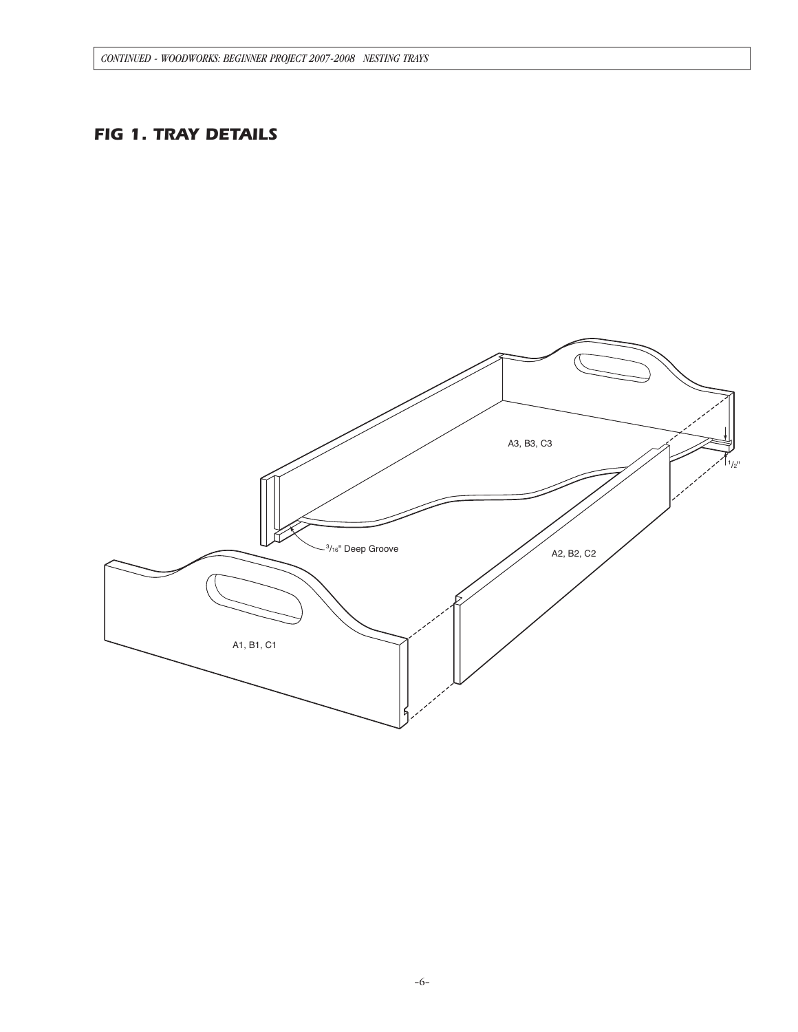# *FIG 1. TRAY DETAILS*

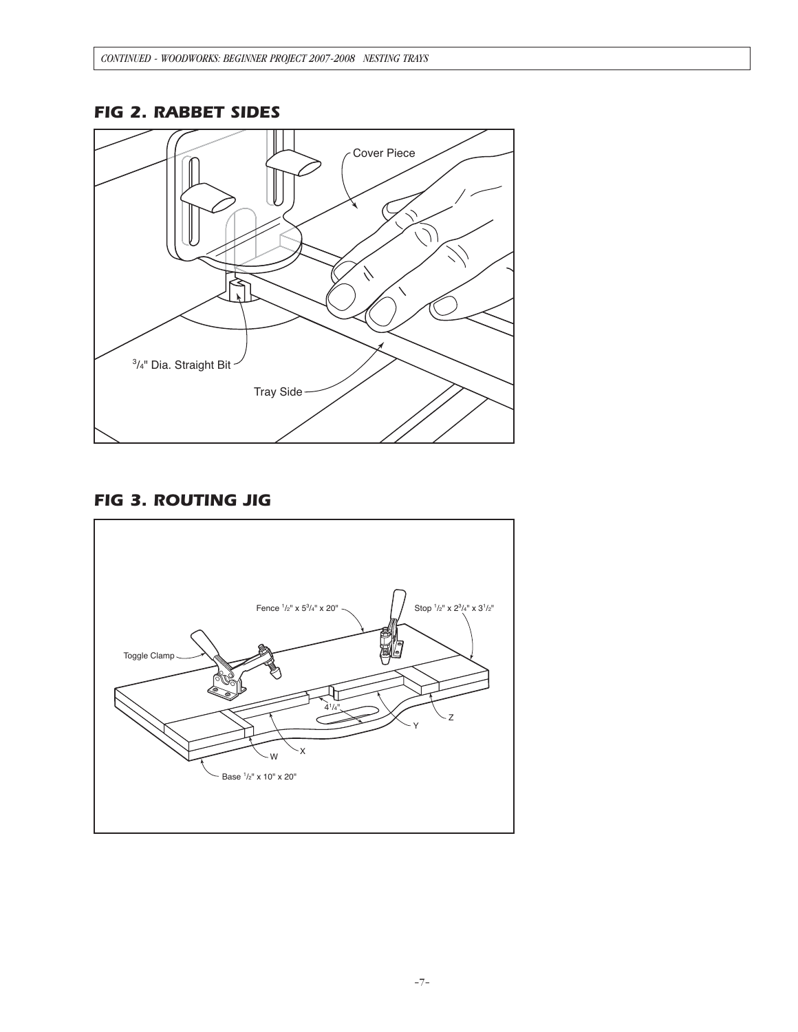# *FIG 2. RABBET SIDES*



# *FIG 3. ROUTING JIG*